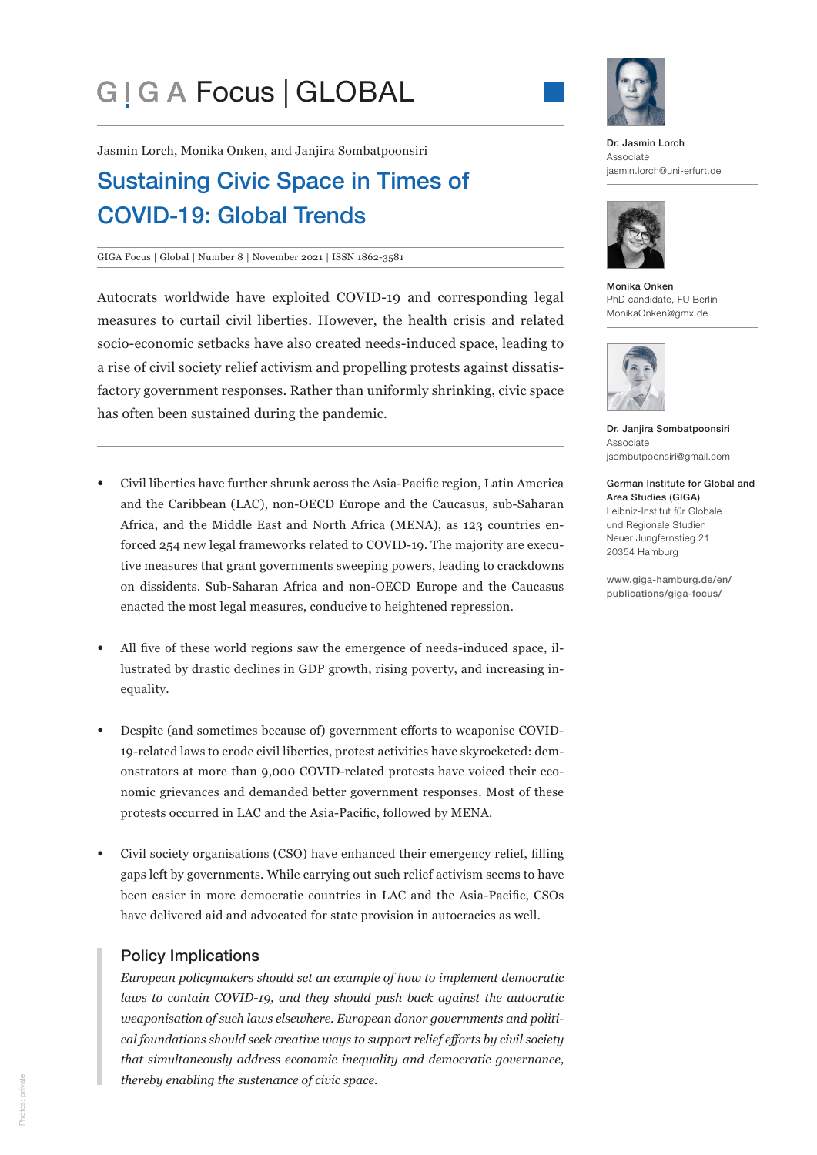# G | G A Focus | GLOBAL



Jasmin Lorch, Monika Onken, and Janjira Sombatpoonsiri

# Sustaining Civic Space in Times of COVID-19: Global Trends

#### GIGA Focus | Global | Number 8 | November 2021 | ISSN 1862-3581

Autocrats worldwide have exploited COVID-19 and corresponding legal measures to curtail civil liberties. However, the health crisis and related socio-economic setbacks have also created needs-induced space, leading to a rise of civil society relief activism and propelling protests against dissatisfactory government responses. Rather than uniformly shrinking, civic space has often been sustained during the pandemic.

- Civil liberties have further shrunk across the Asia-Pacific region, Latin America and the Caribbean (LAC), non-OECD Europe and the Caucasus, sub-Saharan Africa, and the Middle East and North Africa (MENA), as 123 countries enforced 254 new legal frameworks related to COVID-19. The majority are executive measures that grant governments sweeping powers, leading to crackdowns on dissidents. Sub-Saharan Africa and non-OECD Europe and the Caucasus enacted the most legal measures, conducive to heightened repression.
- All five of these world regions saw the emergence of needs-induced space, illustrated by drastic declines in GDP growth, rising poverty, and increasing inequality.
- Despite (and sometimes because of) government efforts to weaponise COVID-19-related laws to erode civil liberties, protest activities have skyrocketed: demonstrators at more than 9,000 COVID-related protests have voiced their economic grievances and demanded better government responses. Most of these protests occurred in LAC and the Asia-Pacific, followed by MENA.
- Civil society organisations (CSO) have enhanced their emergency relief, filling gaps left by governments. While carrying out such relief activism seems to have been easier in more democratic countries in LAC and the Asia-Pacific, CSOs have delivered aid and advocated for state provision in autocracies as well.

#### Policy Implications

*European policymakers should set an example of how to implement democratic laws to contain COVID-19, and they should push back against the autocratic weaponisation of such laws elsewhere. European donor governments and political foundations should seek creative ways to support relief efforts by civil society that simultaneously address economic inequality and democratic governance, thereby enabling the sustenance of civic space.*

Dr. Jasmin Lorch Associate jasmin.lorch@uni-erfurt.de



Monika Onken PhD candidate, FU Berlin MonikaOnken@gmx.de



Dr. Janjira Sombatpoonsiri Associate jsombutpoonsiri@gmail.com

German Institute for Global and Area Studies (GIGA) Leibniz-Institut für Globale und Regionale Studien Neuer Jungfernstieg 21 20354 Hamburg

www.giga-hamburg.de/en/ publications/giga-focus/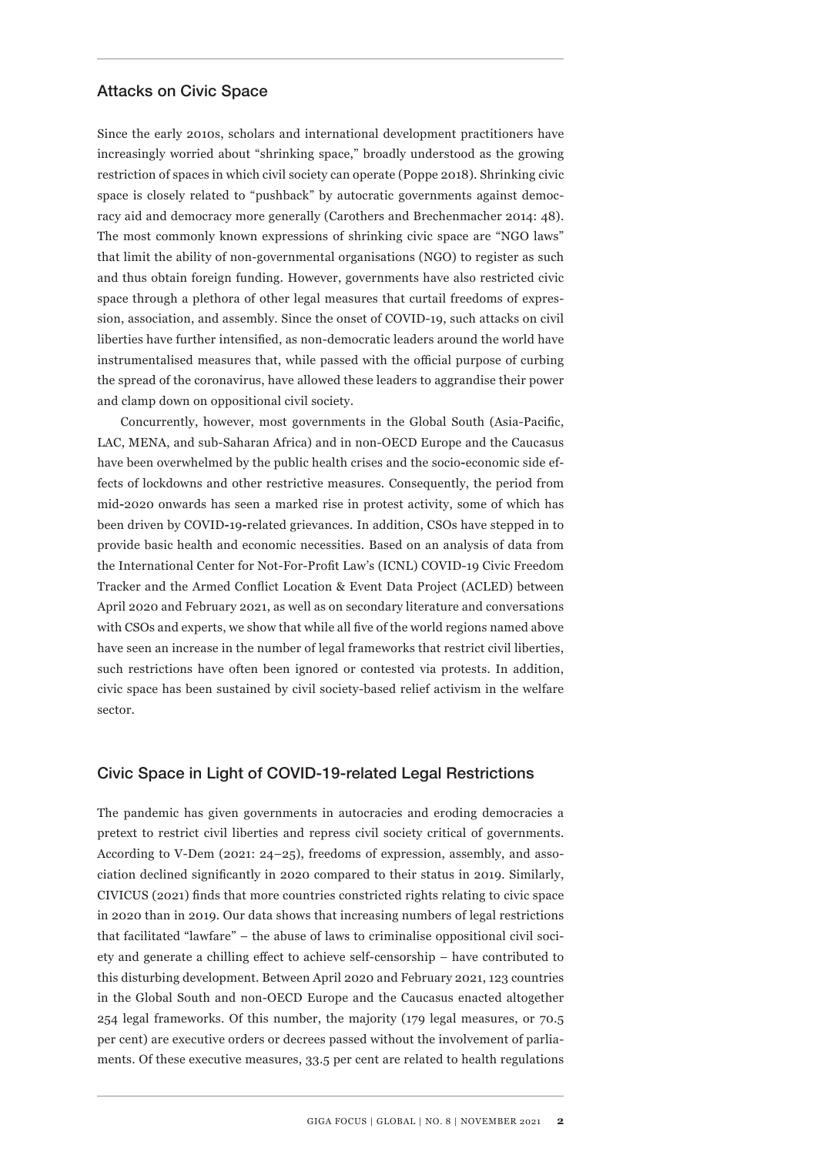#### Attacks on Civic Space

Since the early 2010s, scholars and international development practitioners have increasingly worried about "shrinking space," broadly understood as the growing restriction of spaces in which civil society can operate (Poppe 2018). Shrinking civic space is closely related to "pushback" by autocratic governments against democracy aid and democracy more generally (Carothers and Brechenmacher 2014: 48). The most commonly known expressions of shrinking civic space are "NGO laws" that limit the ability of non-governmental organisations (NGO) to register as such and thus obtain foreign funding. However, governments have also restricted civic space through a plethora of other legal measures that curtail freedoms of expression, association, and assembly. Since the onset of COVID-19, such attacks on civil liberties have further intensified, as non-democratic leaders around the world have instrumentalised measures that, while passed with the official purpose of curbing the spread of the coronavirus, have allowed these leaders to aggrandise their power and clamp down on oppositional civil society.

Concurrently, however, most governments in the Global South (Asia-Pacific, LAC, MENA, and sub-Saharan Africa) and in non-OECD Europe and the Caucasus have been overwhelmed by the public health crises and the socio**-**economic side effects of lockdowns and other restrictive measures. Consequently, the period from mid**-**2020 onwards has seen a marked rise in protest activity, some of which has been driven by COVID**-**19**-**related grievances. In addition, CSOs have stepped in to provide basic health and economic necessities. Based on an analysis of data from the International Center for Not-For-Profit Law's (ICNL) COVID-19 Civic Freedom Tracker and the Armed Conflict Location & Event Data Project (ACLED) between April 2020 and February 2021, as well as on secondary literature and conversations with CSOs and experts, we show that while all five of the world regions named above have seen an increase in the number of legal frameworks that restrict civil liberties, such restrictions have often been ignored or contested via protests. In addition, civic space has been sustained by civil society-based relief activism in the welfare sector.

#### Civic Space in Light of COVID-19-related Legal Restrictions

The pandemic has given governments in autocracies and eroding democracies a pretext to restrict civil liberties and repress civil society critical of governments. According to V-Dem (2021: 24–25), freedoms of expression, assembly, and association declined significantly in 2020 compared to their status in 2019. Similarly, CIVICUS (2021) finds that more countries constricted rights relating to civic space in 2020 than in 2019. Our data shows that increasing numbers of legal restrictions that facilitated "lawfare" – the abuse of laws to criminalise oppositional civil society and generate a chilling effect to achieve self-censorship – have contributed to this disturbing development. Between April 2020 and February 2021, 123 countries in the Global South and non-OECD Europe and the Caucasus enacted altogether 254 legal frameworks. Of this number, the majority (179 legal measures, or 70.5 per cent) are executive orders or decrees passed without the involvement of parliaments. Of these executive measures, 33.5 per cent are related to health regulations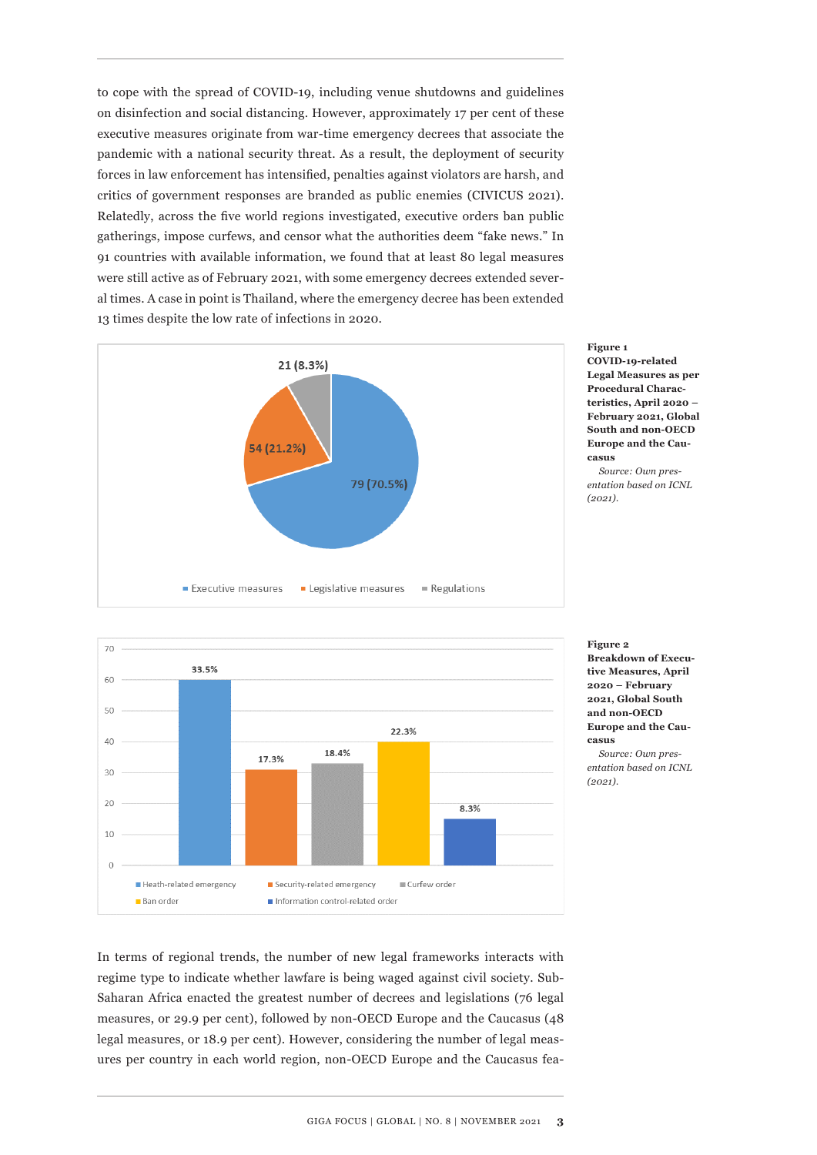to cope with the spread of COVID-19, including venue shutdowns and guidelines on disinfection and social distancing. However, approximately 17 per cent of these executive measures originate from war-time emergency decrees that associate the pandemic with a national security threat. As a result, the deployment of security forces in law enforcement has intensified, penalties against violators are harsh, and critics of government responses are branded as public enemies (CIVICUS 2021). Relatedly, across the five world regions investigated, executive orders ban public gatherings, impose curfews, and censor what the authorities deem "fake news." In 91 countries with available information, we found that at least 80 legal measures were still active as of February 2021, with some emergency decrees extended several times. A case in point is Thailand, where the emergency decree has been extended 13 times despite the low rate of infections in 2020.



**Figure 1 COVID-19-related Legal Measures as per Procedural Characteristics, April 2020 – February 2021, Global South and non-OECD Europe and the Caucasus**

*Source: Own presentation based on ICNL (2021).*



**Figure 2 Breakdown of Executive Measures, April 2020 – February 2021, Global South and non-OECD Europe and the Caucasus**

*Source: Own presentation based on ICNL (2021).*

In terms of regional trends, the number of new legal frameworks interacts with regime type to indicate whether lawfare is being waged against civil society. Sub-Saharan Africa enacted the greatest number of decrees and legislations (76 legal measures, or 29.9 per cent), followed by non-OECD Europe and the Caucasus (48 legal measures, or 18.9 per cent). However, considering the number of legal measures per country in each world region, non-OECD Europe and the Caucasus fea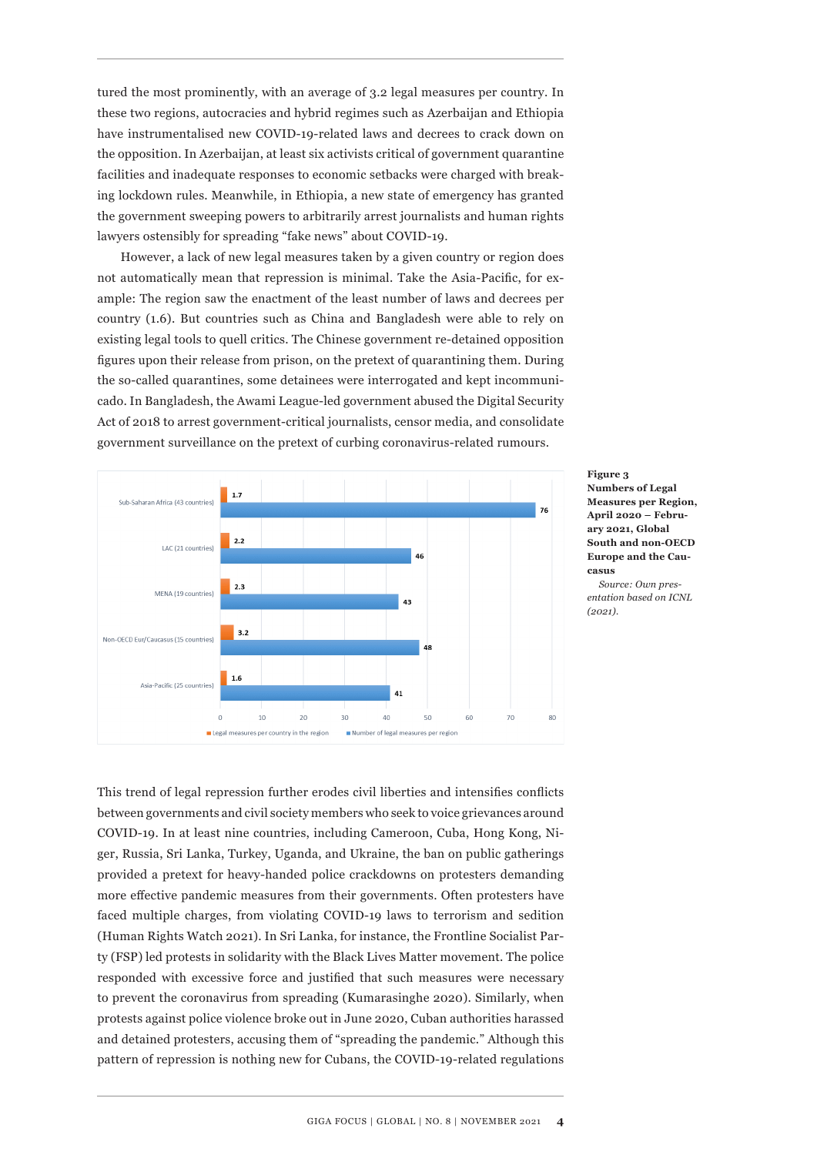tured the most prominently, with an average of 3.2 legal measures per country. In these two regions, autocracies and hybrid regimes such as Azerbaijan and Ethiopia have instrumentalised new COVID-19-related laws and decrees to crack down on the opposition. In Azerbaijan, at least six activists critical of government quarantine facilities and inadequate responses to economic setbacks were charged with breaking lockdown rules. Meanwhile, in Ethiopia, a new state of emergency has granted the government sweeping powers to arbitrarily arrest journalists and human rights lawyers ostensibly for spreading "fake news" about COVID-19.

However, a lack of new legal measures taken by a given country or region does not automatically mean that repression is minimal. Take the Asia-Pacific, for example: The region saw the enactment of the least number of laws and decrees per country (1.6). But countries such as China and Bangladesh were able to rely on existing legal tools to quell critics. The Chinese government re-detained opposition figures upon their release from prison, on the pretext of quarantining them. During the so-called quarantines, some detainees were interrogated and kept incommunicado. In Bangladesh, the Awami League-led government abused the Digital Security Act of 2018 to arrest government-critical journalists, censor media, and consolidate government surveillance on the pretext of curbing coronavirus-related rumours.



**Figure 3 Numbers of Legal Measures per Region, April 2020 – February 2021, Global South and non-OECD Europe and the Caucasus** *Source: Own pres-*

*entation based on ICNL (2021).*

This trend of legal repression further erodes civil liberties and intensifies conflicts between governments and civil society members who seek to voice grievances around COVID-19. In at least nine countries, including Cameroon, Cuba, Hong Kong, Niger, Russia, Sri Lanka, Turkey, Uganda, and Ukraine, the ban on public gatherings provided a pretext for heavy-handed police crackdowns on protesters demanding more effective pandemic measures from their governments. Often protesters have faced multiple charges, from violating COVID-19 laws to terrorism and sedition (Human Rights Watch 2021). In Sri Lanka, for instance, the Frontline Socialist Party (FSP) led protests in solidarity with the Black Lives Matter movement. The police responded with excessive force and justified that such measures were necessary to prevent the coronavirus from spreading (Kumarasinghe 2020). Similarly, when protests against police violence broke out in June 2020, Cuban authorities harassed and detained protesters, accusing them of "spreading the pandemic." Although this pattern of repression is nothing new for Cubans, the COVID-19-related regulations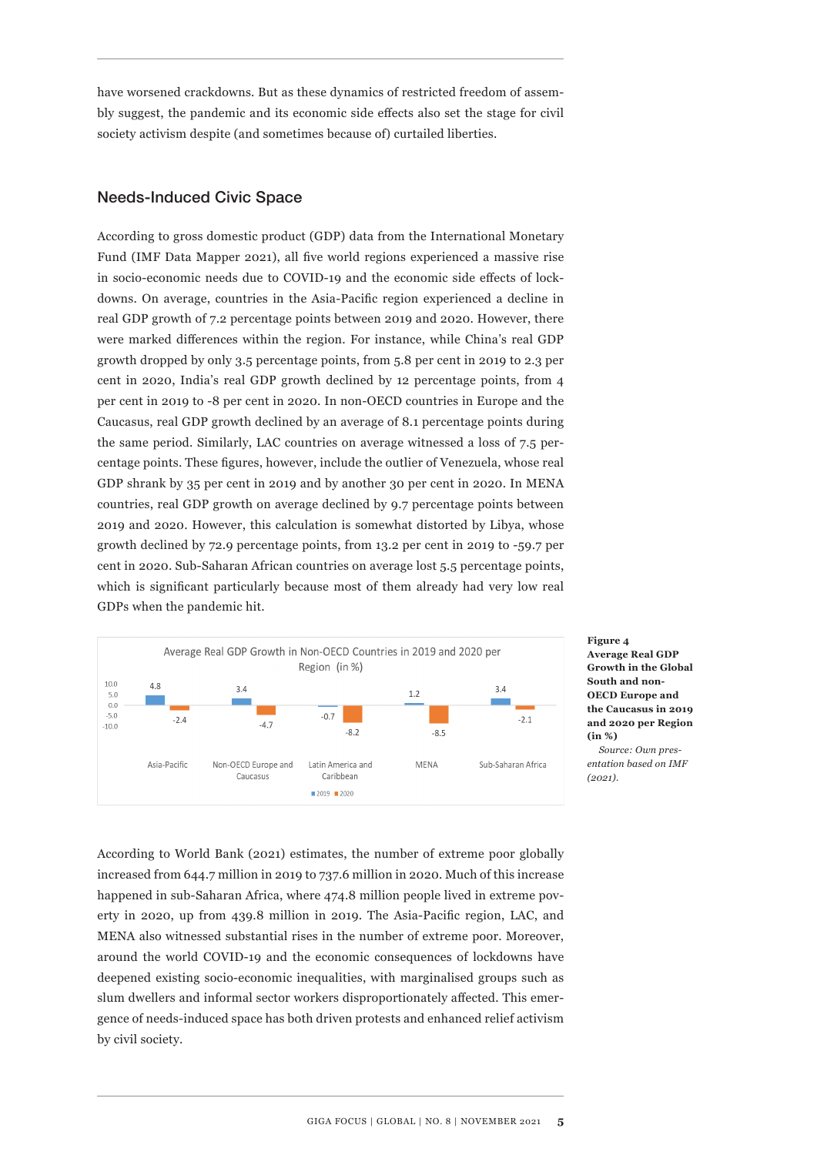have worsened crackdowns. But as these dynamics of restricted freedom of assembly suggest, the pandemic and its economic side effects also set the stage for civil society activism despite (and sometimes because of) curtailed liberties.

## Needs-Induced Civic Space

According to gross domestic product (GDP) data from the International Monetary Fund (IMF Data Mapper 2021), all five world regions experienced a massive rise in socio-economic needs due to COVID-19 and the economic side effects of lockdowns. On average, countries in the Asia-Pacific region experienced a decline in real GDP growth of 7.2 percentage points between 2019 and 2020. However, there were marked differences within the region. For instance, while China's real GDP growth dropped by only 3.5 percentage points, from 5.8 per cent in 2019 to 2.3 per cent in 2020, India's real GDP growth declined by 12 percentage points, from 4 per cent in 2019 to -8 per cent in 2020. In non-OECD countries in Europe and the Caucasus, real GDP growth declined by an average of 8.1 percentage points during the same period. Similarly, LAC countries on average witnessed a loss of 7.5 percentage points. These figures, however, include the outlier of Venezuela, whose real GDP shrank by 35 per cent in 2019 and by another 30 per cent in 2020. In MENA countries, real GDP growth on average declined by 9.7 percentage points between 2019 and 2020. However, this calculation is somewhat distorted by Libya, whose growth declined by 72.9 percentage points, from 13.2 per cent in 2019 to -59.7 per cent in 2020. Sub-Saharan African countries on average lost 5.5 percentage points, which is significant particularly because most of them already had very low real GDPs when the pandemic hit.



**Figure 4 Average Real GDP Growth in the Global South and non-OECD Europe and the Caucasus in 2019 and 2020 per Region (in %)** *Source: Own pres-*

*entation based on IMF (2021).*

According to World Bank (2021) estimates, the number of extreme poor globally increased from 644.7 million in 2019 to 737.6 million in 2020. Much of this increase happened in sub-Saharan Africa, where 474.8 million people lived in extreme poverty in 2020, up from 439.8 million in 2019. The Asia-Pacific region, LAC, and MENA also witnessed substantial rises in the number of extreme poor. Moreover, around the world COVID-19 and the economic consequences of lockdowns have deepened existing socio-economic inequalities, with marginalised groups such as slum dwellers and informal sector workers disproportionately affected. This emergence of needs-induced space has both driven protests and enhanced relief activism by civil society.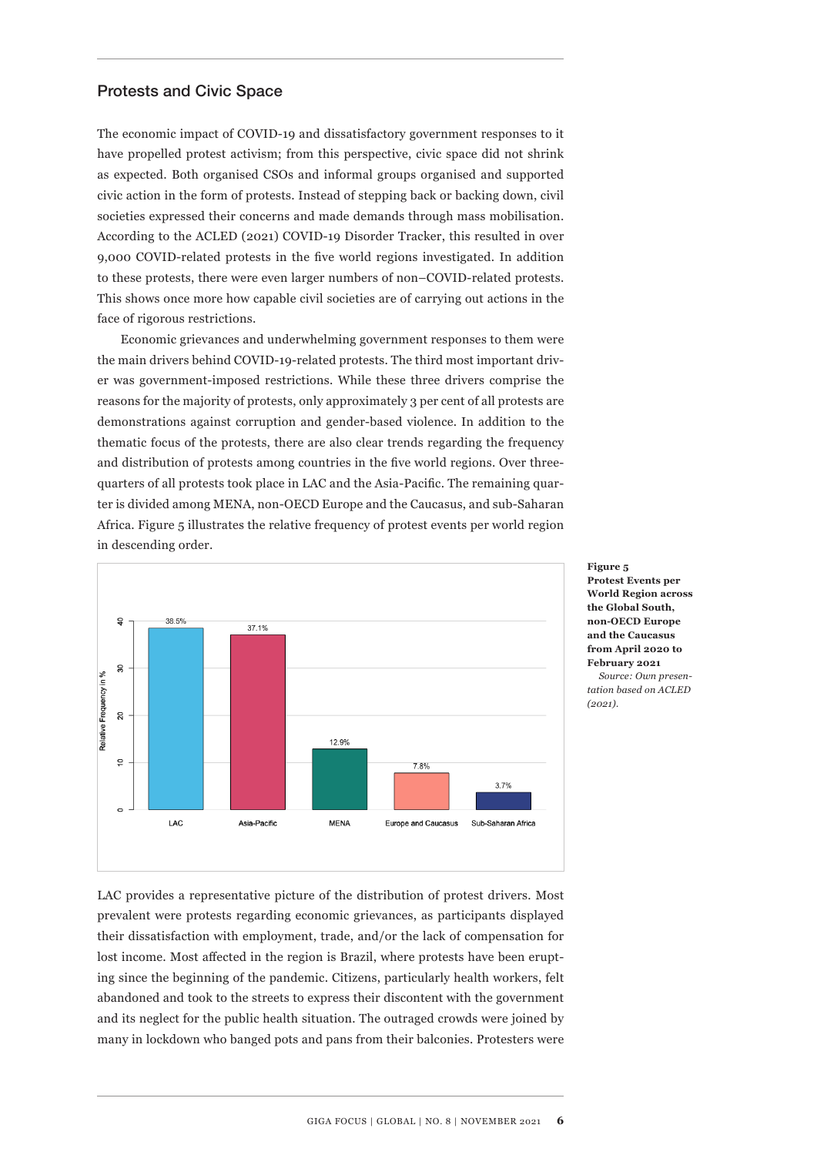#### Protests and Civic Space

The economic impact of COVID-19 and dissatisfactory government responses to it have propelled protest activism; from this perspective, civic space did not shrink as expected. Both organised CSOs and informal groups organised and supported civic action in the form of protests. Instead of stepping back or backing down, civil societies expressed their concerns and made demands through mass mobilisation. According to the ACLED (2021) COVID-19 Disorder Tracker, this resulted in over 9,000 COVID-related protests in the five world regions investigated. In addition to these protests, there were even larger numbers of non–COVID-related protests. This shows once more how capable civil societies are of carrying out actions in the face of rigorous restrictions.

Economic grievances and underwhelming government responses to them were the main drivers behind COVID-19-related protests. The third most important driver was government-imposed restrictions. While these three drivers comprise the reasons for the majority of protests, only approximately 3 per cent of all protests are demonstrations against corruption and gender-based violence. In addition to the thematic focus of the protests, there are also clear trends regarding the frequency and distribution of protests among countries in the five world regions. Over threequarters of all protests took place in LAC and the Asia-Pacific. The remaining quarter is divided among MENA, non-OECD Europe and the Caucasus, and sub-Saharan Africa. Figure 5 illustrates the relative frequency of protest events per world region in descending order.



**Protest Events per World Region across the Global South, non-OECD Europe and the Caucasus from April 2020 to February 2021** *Source: Own presentation based on ACLED (2021).*

**Figure 5**

LAC provides a representative picture of the distribution of protest drivers. Most prevalent were protests regarding economic grievances, as participants displayed their dissatisfaction with employment, trade, and/or the lack of compensation for lost income. Most affected in the region is Brazil, where protests have been erupting since the beginning of the pandemic. Citizens, particularly health workers, felt abandoned and took to the streets to express their discontent with the government and its neglect for the public health situation. The outraged crowds were joined by many in lockdown who banged pots and pans from their balconies. Protesters were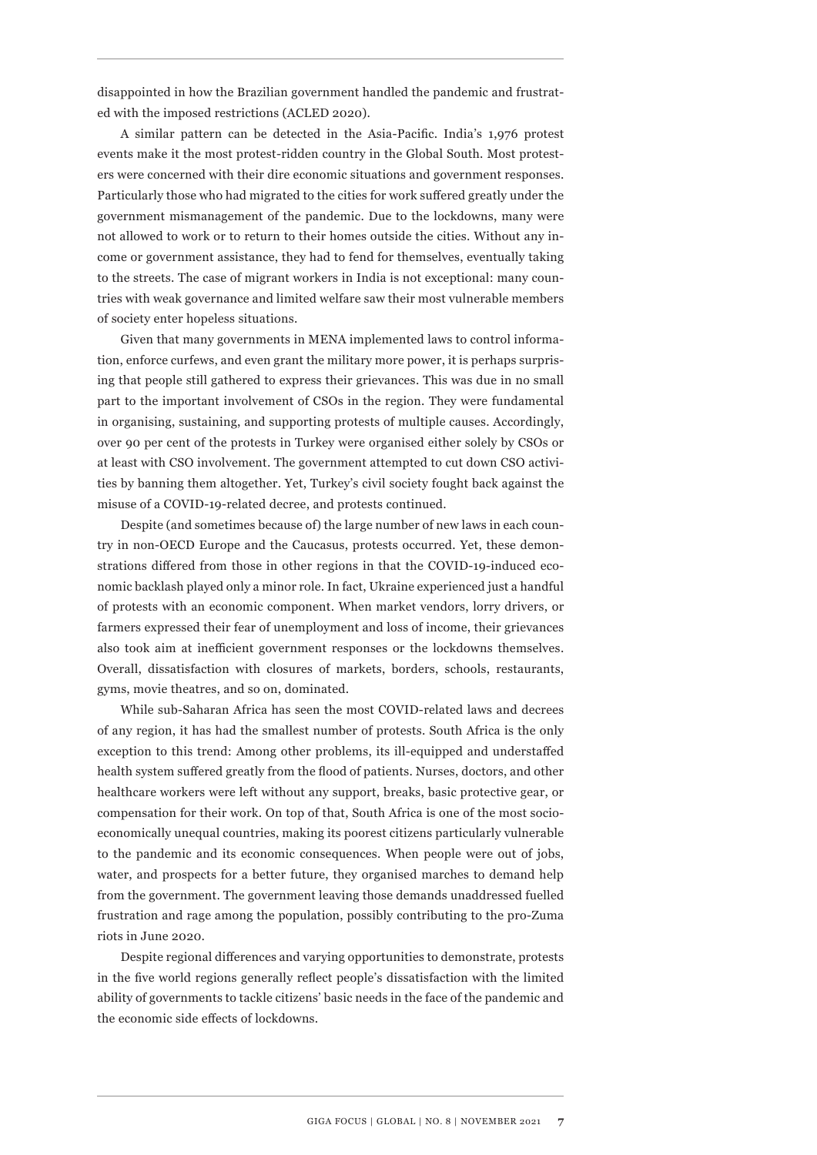disappointed in how the Brazilian government handled the pandemic and frustrated with the imposed restrictions (ACLED 2020).

A similar pattern can be detected in the Asia-Pacific. India's 1,976 protest events make it the most protest-ridden country in the Global South. Most protesters were concerned with their dire economic situations and government responses. Particularly those who had migrated to the cities for work suffered greatly under the government mismanagement of the pandemic. Due to the lockdowns, many were not allowed to work or to return to their homes outside the cities. Without any income or government assistance, they had to fend for themselves, eventually taking to the streets. The case of migrant workers in India is not exceptional: many countries with weak governance and limited welfare saw their most vulnerable members of society enter hopeless situations.

Given that many governments in MENA implemented laws to control information, enforce curfews, and even grant the military more power, it is perhaps surprising that people still gathered to express their grievances. This was due in no small part to the important involvement of CSOs in the region. They were fundamental in organising, sustaining, and supporting protests of multiple causes. Accordingly, over 90 per cent of the protests in Turkey were organised either solely by CSOs or at least with CSO involvement. The government attempted to cut down CSO activities by banning them altogether. Yet, Turkey's civil society fought back against the misuse of a COVID-19-related decree, and protests continued.

Despite (and sometimes because of) the large number of new laws in each country in non-OECD Europe and the Caucasus, protests occurred. Yet, these demonstrations differed from those in other regions in that the COVID-19-induced economic backlash played only a minor role. In fact, Ukraine experienced just a handful of protests with an economic component. When market vendors, lorry drivers, or farmers expressed their fear of unemployment and loss of income, their grievances also took aim at inefficient government responses or the lockdowns themselves. Overall, dissatisfaction with closures of markets, borders, schools, restaurants, gyms, movie theatres, and so on, dominated.

While sub-Saharan Africa has seen the most COVID-related laws and decrees of any region, it has had the smallest number of protests. South Africa is the only exception to this trend: Among other problems, its ill-equipped and understaffed health system suffered greatly from the flood of patients. Nurses, doctors, and other healthcare workers were left without any support, breaks, basic protective gear, or compensation for their work. On top of that, South Africa is one of the most socioeconomically unequal countries, making its poorest citizens particularly vulnerable to the pandemic and its economic consequences. When people were out of jobs, water, and prospects for a better future, they organised marches to demand help from the government. The government leaving those demands unaddressed fuelled frustration and rage among the population, possibly contributing to the pro-Zuma riots in June 2020.

Despite regional differences and varying opportunities to demonstrate, protests in the five world regions generally reflect people's dissatisfaction with the limited ability of governments to tackle citizens' basic needs in the face of the pandemic and the economic side effects of lockdowns.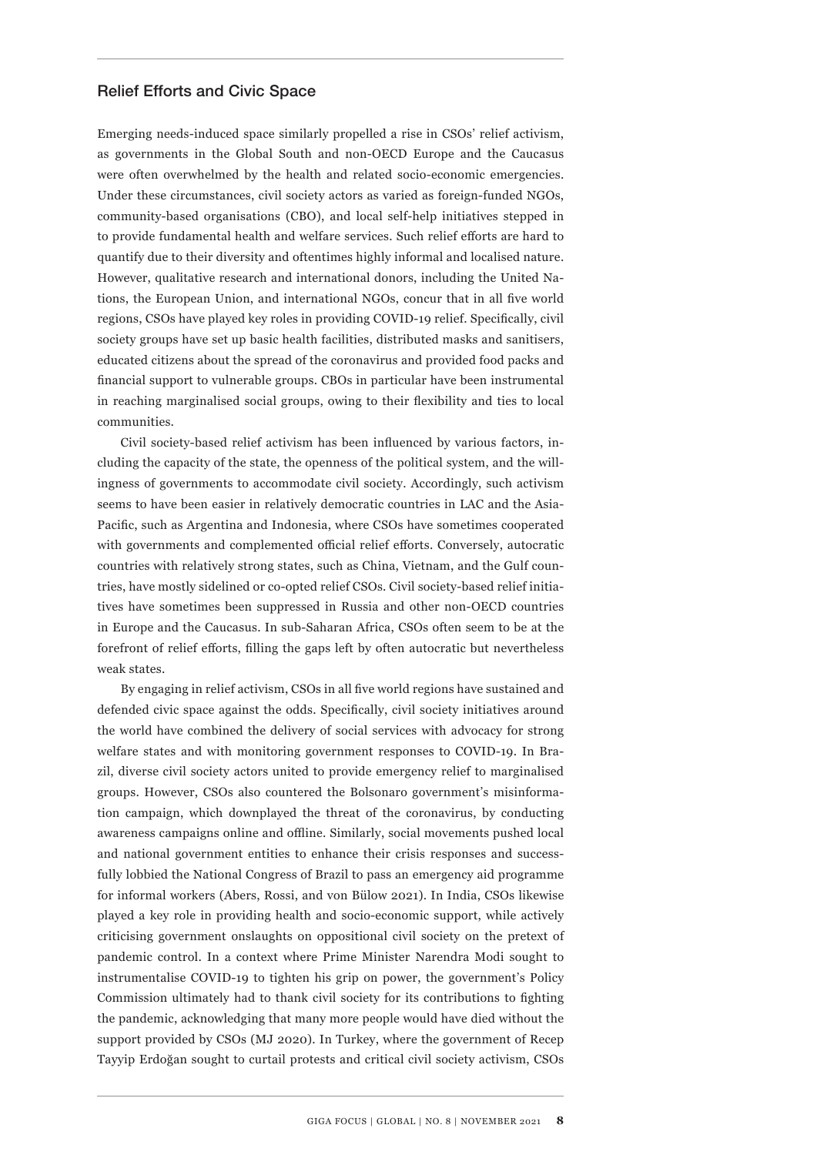#### Relief Efforts and Civic Space

Emerging needs-induced space similarly propelled a rise in CSOs' relief activism, as governments in the Global South and non-OECD Europe and the Caucasus were often overwhelmed by the health and related socio-economic emergencies. Under these circumstances, civil society actors as varied as foreign-funded NGOs, community-based organisations (CBO), and local self-help initiatives stepped in to provide fundamental health and welfare services. Such relief efforts are hard to quantify due to their diversity and oftentimes highly informal and localised nature. However, qualitative research and international donors, including the United Nations, the European Union, and international NGOs, concur that in all five world regions, CSOs have played key roles in providing COVID-19 relief. Specifically, civil society groups have set up basic health facilities, distributed masks and sanitisers, educated citizens about the spread of the coronavirus and provided food packs and financial support to vulnerable groups. CBOs in particular have been instrumental in reaching marginalised social groups, owing to their flexibility and ties to local communities.

Civil society-based relief activism has been influenced by various factors, including the capacity of the state, the openness of the political system, and the willingness of governments to accommodate civil society. Accordingly, such activism seems to have been easier in relatively democratic countries in LAC and the Asia-Pacific, such as Argentina and Indonesia, where CSOs have sometimes cooperated with governments and complemented official relief efforts. Conversely, autocratic countries with relatively strong states, such as China, Vietnam, and the Gulf countries, have mostly sidelined or co-opted relief CSOs. Civil society-based relief initiatives have sometimes been suppressed in Russia and other non-OECD countries in Europe and the Caucasus. In sub-Saharan Africa, CSOs often seem to be at the forefront of relief efforts, filling the gaps left by often autocratic but nevertheless weak states.

By engaging in relief activism, CSOs in all five world regions have sustained and defended civic space against the odds. Specifically, civil society initiatives around the world have combined the delivery of social services with advocacy for strong welfare states and with monitoring government responses to COVID-19. In Brazil, diverse civil society actors united to provide emergency relief to marginalised groups. However, CSOs also countered the Bolsonaro government's misinformation campaign, which downplayed the threat of the coronavirus, by conducting awareness campaigns online and offline. Similarly, social movements pushed local and national government entities to enhance their crisis responses and successfully lobbied the National Congress of Brazil to pass an emergency aid programme for informal workers (Abers, Rossi, and von Bülow 2021). In India, CSOs likewise played a key role in providing health and socio-economic support, while actively criticising government onslaughts on oppositional civil society on the pretext of pandemic control. In a context where Prime Minister Narendra Modi sought to instrumentalise COVID-19 to tighten his grip on power, the government's Policy Commission ultimately had to thank civil society for its contributions to fighting the pandemic, acknowledging that many more people would have died without the support provided by CSOs (MJ 2020). In Turkey, where the government of Recep Tayyip Erdoğan sought to curtail protests and critical civil society activism, CSOs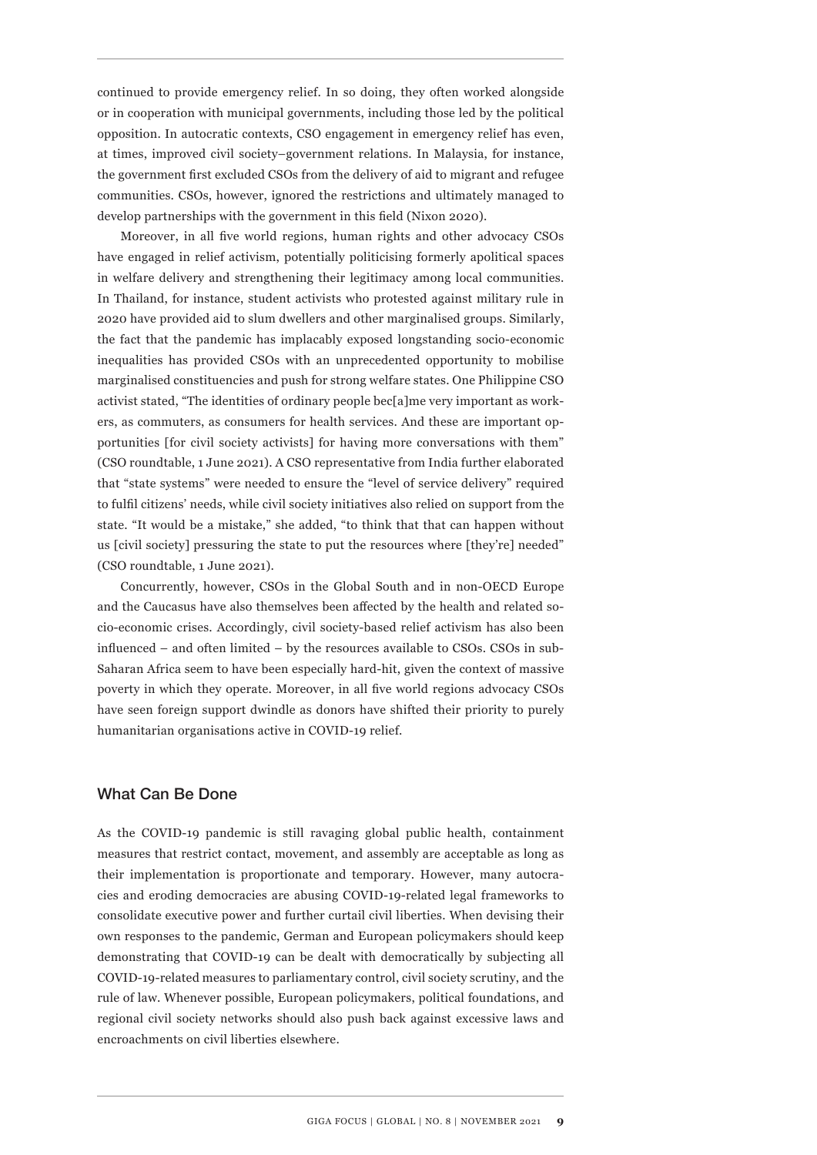continued to provide emergency relief. In so doing, they often worked alongside or in cooperation with municipal governments, including those led by the political opposition. In autocratic contexts, CSO engagement in emergency relief has even, at times, improved civil society–government relations. In Malaysia, for instance, the government first excluded CSOs from the delivery of aid to migrant and refugee communities. CSOs, however, ignored the restrictions and ultimately managed to develop partnerships with the government in this field (Nixon 2020).

Moreover, in all five world regions, human rights and other advocacy CSOs have engaged in relief activism, potentially politicising formerly apolitical spaces in welfare delivery and strengthening their legitimacy among local communities. In Thailand, for instance, student activists who protested against military rule in 2020 have provided aid to slum dwellers and other marginalised groups. Similarly, the fact that the pandemic has implacably exposed longstanding socio-economic inequalities has provided CSOs with an unprecedented opportunity to mobilise marginalised constituencies and push for strong welfare states. One Philippine CSO activist stated, "The identities of ordinary people bec[a]me very important as workers, as commuters, as consumers for health services. And these are important opportunities [for civil society activists] for having more conversations with them" (CSO roundtable, 1 June 2021). A CSO representative from India further elaborated that "state systems" were needed to ensure the "level of service delivery" required to fulfil citizens' needs, while civil society initiatives also relied on support from the state. "It would be a mistake," she added, "to think that that can happen without us [civil society] pressuring the state to put the resources where [they're] needed" (CSO roundtable, 1 June 2021).

Concurrently, however, CSOs in the Global South and in non-OECD Europe and the Caucasus have also themselves been affected by the health and related socio-economic crises. Accordingly, civil society-based relief activism has also been influenced – and often limited – by the resources available to CSOs. CSOs in sub-Saharan Africa seem to have been especially hard-hit, given the context of massive poverty in which they operate. Moreover, in all five world regions advocacy CSOs have seen foreign support dwindle as donors have shifted their priority to purely humanitarian organisations active in COVID-19 relief.

#### What Can Be Done

As the COVID-19 pandemic is still ravaging global public health, containment measures that restrict contact, movement, and assembly are acceptable as long as their implementation is proportionate and temporary. However, many autocracies and eroding democracies are abusing COVID-19-related legal frameworks to consolidate executive power and further curtail civil liberties. When devising their own responses to the pandemic, German and European policymakers should keep demonstrating that COVID-19 can be dealt with democratically by subjecting all COVID-19-related measures to parliamentary control, civil society scrutiny, and the rule of law. Whenever possible, European policymakers, political foundations, and regional civil society networks should also push back against excessive laws and encroachments on civil liberties elsewhere.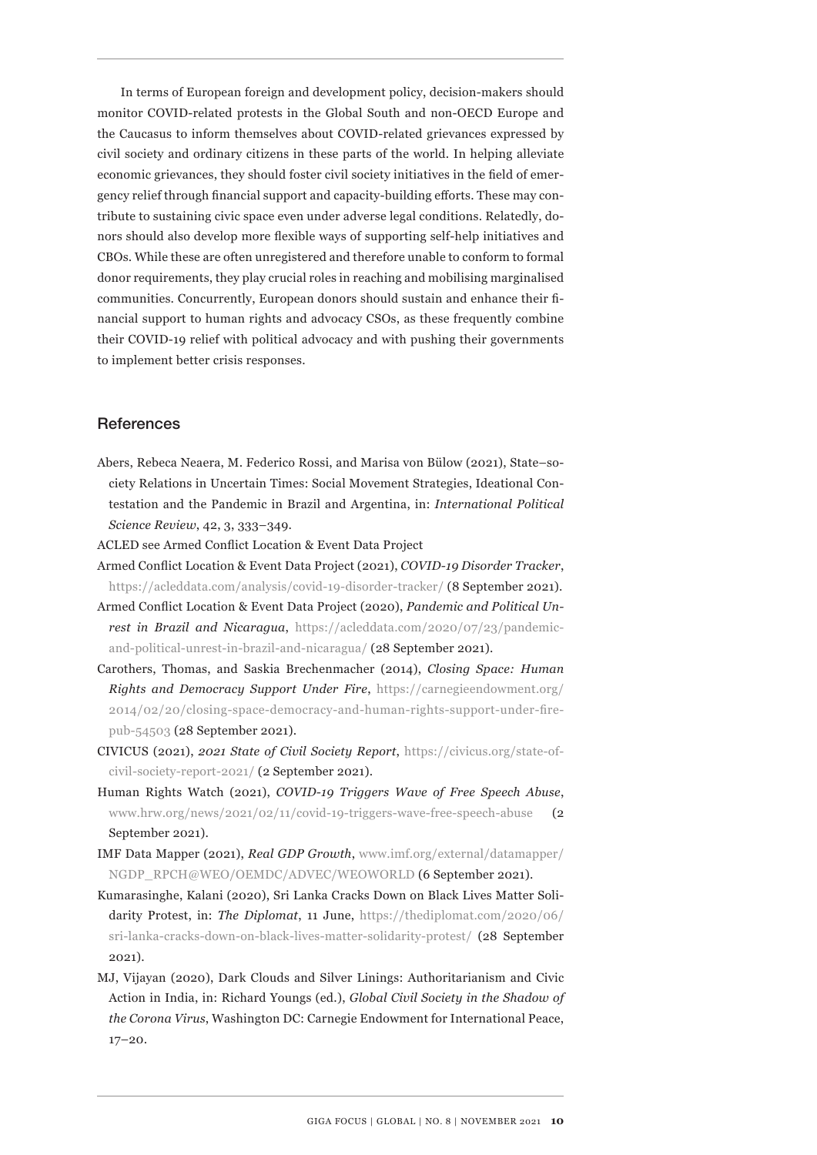In terms of European foreign and development policy, decision-makers should monitor COVID-related protests in the Global South and non-OECD Europe and the Caucasus to inform themselves about COVID-related grievances expressed by civil society and ordinary citizens in these parts of the world. In helping alleviate economic grievances, they should foster civil society initiatives in the field of emergency relief through financial support and capacity-building efforts. These may contribute to sustaining civic space even under adverse legal conditions. Relatedly, donors should also develop more flexible ways of supporting self-help initiatives and CBOs. While these are often unregistered and therefore unable to conform to formal donor requirements, they play crucial roles in reaching and mobilising marginalised communities. Concurrently, European donors should sustain and enhance their financial support to human rights and advocacy CSOs, as these frequently combine their COVID-19 relief with political advocacy and with pushing their governments to implement better crisis responses.

#### **References**

Abers, Rebeca Neaera, M. Federico Rossi, and Marisa von Bülow (2021), State–society Relations in Uncertain Times: Social Movement Strategies, Ideational Contestation and the Pandemic in Brazil and Argentina, in: *International Political Science Review*, 42, 3, 333–349.

ACLED see Armed Conflict Location & Event Data Project

- Armed Conflict Location & Event Data Project (2021), *COVID-19 Disorder Tracker*, https://acleddata.com/analysis/covid-19-disorder-tracker/ (8 September 2021).
- Armed Conflict Location & Event Data Project (2020), *Pandemic and Political Unrest in Brazil and Nicaragua, https://acleddata.com/2020/07/23/pandemic*and-political-unrest-in-brazil-and-nicaragua/ (28 September 2021).
- Carothers, Thomas, and Saskia Brechenmacher (2014), *Closing Space: Human Rights and Democracy Support Under Fire*, https://carnegieendowment.org/ 2014/02/20/closing-space-democracy-and-human-rights-support-under-firepub-54503 (28 September 2021).
- CIVICUS (2021), *2021 State of Civil Society Report*, https://civicus.org/state-ofcivil-society-report-2021/ (2 September 2021).
- Human Rights Watch (2021), *COVID-19 Triggers Wave of Free Speech Abuse*, www.hrw.org/news/2021/02/11/covid-19-triggers-wave-free-speech-abuse (2 September 2021).
- IMF Data Mapper (2021), *Real GDP Growth*, www.imf.org/external/datamapper/ NGDP\_RPCH@WEO/OEMDC/ADVEC/WEOWORLD (6 September 2021).
- Kumarasinghe, Kalani (2020), Sri Lanka Cracks Down on Black Lives Matter Solidarity Protest, in: *The Diplomat*, 11 June, https://thediplomat.com/2020/06/ sri-lanka-cracks-down-on-black-lives-matter-solidarity-protest/ (28 September 2021).
- MJ, Vijayan (2020), Dark Clouds and Silver Linings: Authoritarianism and Civic Action in India, in: Richard Youngs (ed.), *Global Civil Society in the Shadow of the Corona Virus*, Washington DC: Carnegie Endowment for International Peace, 17–20.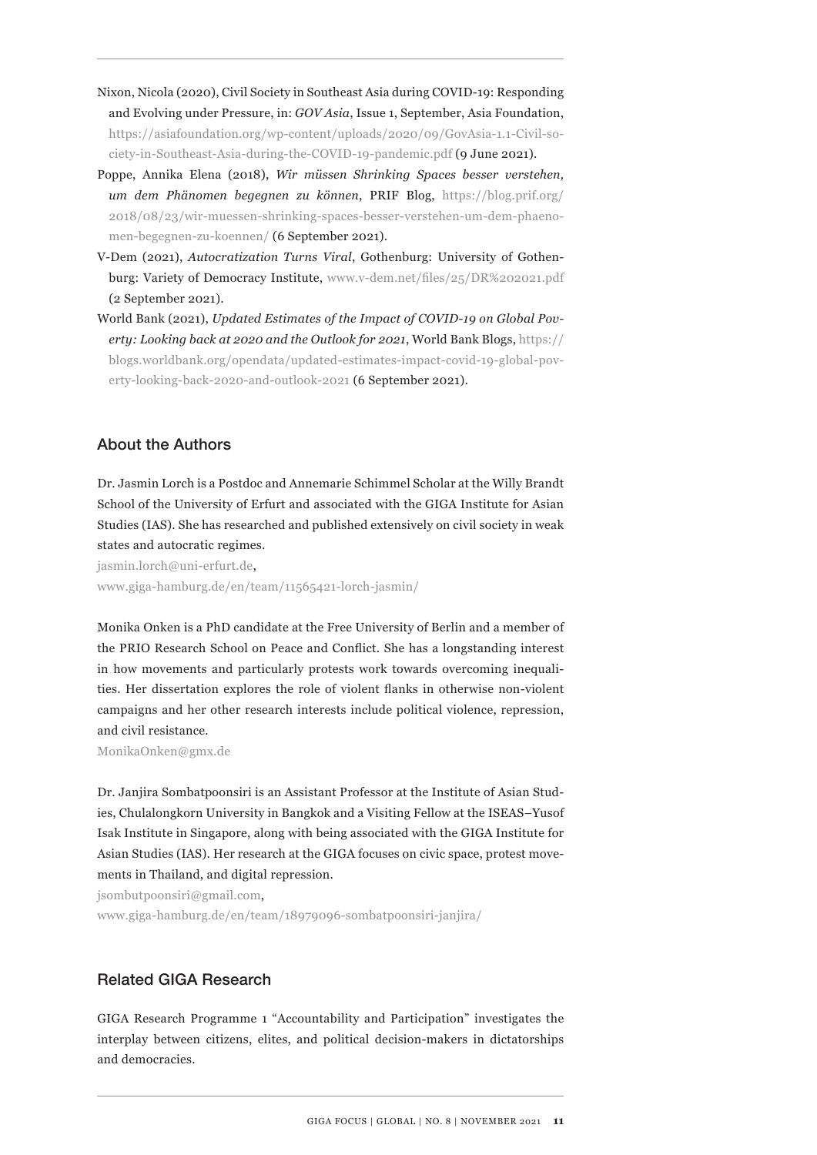- Nixon, Nicola (2020), Civil Society in Southeast Asia during COVID-19: Responding and Evolving under Pressure, in: *GOV Asia*, Issue 1, September, Asia Foundation, https://asiafoundation.org/wp-content/uploads/2020/09/GovAsia-1.1-Civil-society-in-Southeast-Asia-during-the-COVID-19-pandemic.pdf (9 June 2021).
- Poppe, Annika Elena (2018), *Wir müssen Shrinking Spaces besser verstehen, um dem Phänomen begegnen zu können*, PRIF Blog, https://blog.prif.org/ 2018/08/23/wir-muessen-shrinking-spaces-besser-verstehen-um-dem-phaenomen-begegnen-zu-koennen/ (6 September 2021).
- V-Dem (2021), *Autocratization Turns Viral*, Gothenburg: University of Gothenburg: Variety of Democracy Institute, www.v-dem.net/files/25/DR%202021.pdf (2 September 2021).
- World Bank (2021), *Updated Estimates of the Impact of COVID-19 on Global Poverty: Looking back at 2020 and the Outlook for 2021*, World Bank Blogs, https:// blogs.worldbank.org/opendata/updated-estimates-impact-covid-19-global-poverty-looking-back-2020-and-outlook-2021 (6 September 2021).

# About the Authors

Dr. Jasmin Lorch is a Postdoc and Annemarie Schimmel Scholar at the Willy Brandt School of the University of Erfurt and associated with the GIGA Institute for Asian Studies (IAS). She has researched and published extensively on civil society in weak states and autocratic regimes.

jasmin.lorch@uni-erfurt.de, www.giga-hamburg.de/en/team/11565421-lorch-jasmin/

Monika Onken is a PhD candidate at the Free University of Berlin and a member of the PRIO Research School on Peace and Conflict. She has a longstanding interest in how movements and particularly protests work towards overcoming inequalities. Her dissertation explores the role of violent flanks in otherwise non-violent campaigns and her other research interests include political violence, repression, and civil resistance.

MonikaOnken@gmx.de

Dr. Janjira Sombatpoonsiri is an Assistant Professor at the Institute of Asian Studies, Chulalongkorn University in Bangkok and a Visiting Fellow at the ISEAS–Yusof Isak Institute in Singapore, along with being associated with the GIGA Institute for Asian Studies (IAS). Her research at the GIGA focuses on civic space, protest movements in Thailand, and digital repression.

jsombutpoonsiri@gmail.com,

www.giga-hamburg.de/en/team/18979096-sombatpoonsiri-janjira/

# Related GIGA Research

GIGA Research Programme 1 "Accountability and Participation" investigates the interplay between citizens, elites, and political decision-makers in dictatorships and democracies.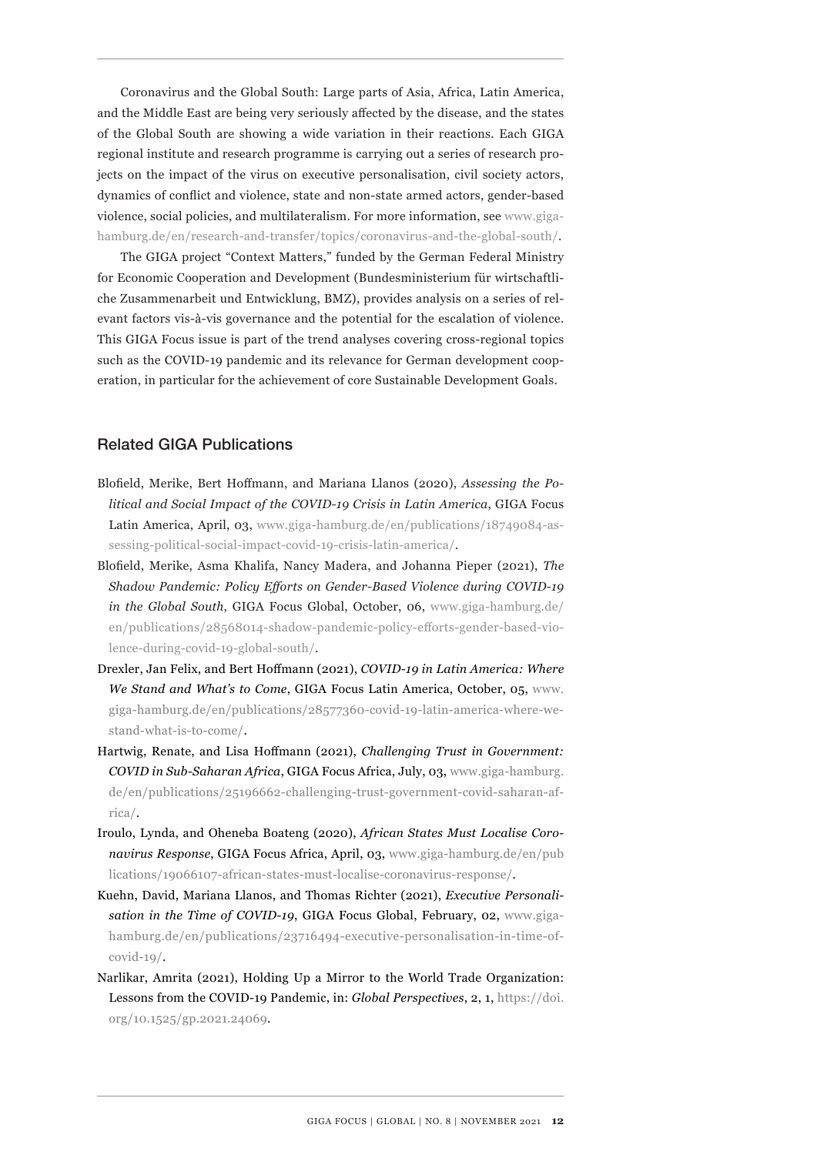Coronavirus and the Global South: Large parts of Asia, Africa, Latin America, and the Middle East are being very seriously affected by the disease, and the states of the Global South are showing a wide variation in their reactions. Each GIGA regional institute and research programme is carrying out a series of research projects on the impact of the virus on executive personalisation, civil society actors, dynamics of conflict and violence, state and non-state armed actors, gender-based violence, social policies, and multilateralism. For more information, see www.gigahamburg.de/en/research-and-transfer/topics/coronavirus-and-the-global-south/.

The GIGA project "Context Matters," funded by the German Federal Ministry for Economic Cooperation and Development (Bundesministerium für wirtschaftliche Zusammenarbeit und Entwicklung, BMZ), provides analysis on a series of relevant factors vis-à-vis governance and the potential for the escalation of violence. This GIGA Focus issue is part of the trend analyses covering cross-regional topics such as the COVID-19 pandemic and its relevance for German development cooperation, in particular for the achievement of core Sustainable Development Goals.

## Related GIGA Publications

- Blofield, Merike, Bert Hoffmann, and Mariana Llanos (2020), *Assessing the Political and Social Impact of the COVID-19 Crisis in Latin America*, GIGA Focus Latin America, April, 03, www.giga-hamburg.de/en/publications/18749084-assessing-political-social-impact-covid-19-crisis-latin-america/.
- Blofield, Merike, Asma Khalifa, Nancy Madera, and Johanna Pieper (2021), *The Shadow Pandemic: Policy Efforts on Gender-Based Violence during COVID-19 in the Global South*, GIGA Focus Global, October, 06, www.giga-hamburg.de/ en/publications/28568014-shadow-pandemic-policy-efforts-gender-based-violence-during-covid-19-global-south/.
- Drexler, Jan Felix, and Bert Hoffmann (2021), *COVID-19 in Latin America: Where We Stand and What's to Come*, GIGA Focus Latin America, October, 05, www. giga-hamburg.de/en/publications/28577360-covid-19-latin-america-where-westand-what-is-to-come/.
- Hartwig, Renate, and Lisa Hoffmann (2021), *Challenging Trust in Government: COVID in Sub-Saharan Africa*, GIGA Focus Africa, July, 03, www.giga-hamburg. de/en/publications/25196662-challenging-trust-government-covid-saharan-africa/.
- Iroulo, Lynda, and Oheneba Boateng (2020), *African States Must Localise Coronavirus Response*, GIGA Focus Africa, April, 03, www.giga-hamburg.de/en/pub lications/19066107-african-states-must-localise-coronavirus-response/.
- Kuehn, David, Mariana Llanos, and Thomas Richter (2021), *Executive Personalisation in the Time of COVID-19*, GIGA Focus Global, February, 02, www.gigahamburg.de/en/publications/23716494-executive-personalisation-in-time-of- $\text{covid-19}/.$
- Narlikar, Amrita (2021), Holding Up a Mirror to the World Trade Organization: Lessons from the COVID-19 Pandemic, in: *Global Perspectives*, 2, 1, https://doi. org/10.1525/gp.2021.24069.